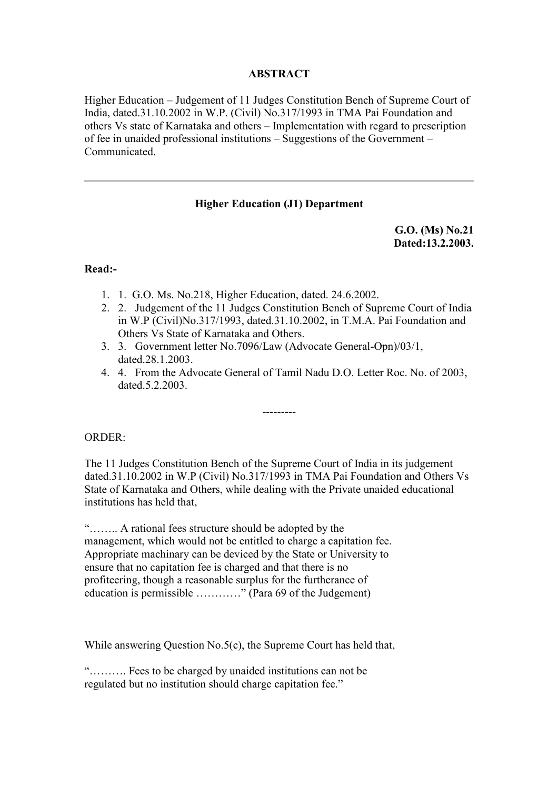# **ABSTRACT**

Higher Education – Judgement of 11 Judges Constitution Bench of Supreme Court of India, dated.31.10.2002 in W.P. (Civil) No.317/1993 in TMA Pai Foundation and others Vs state of Karnataka and others – Implementation with regard to prescription of fee in unaided professional institutions – Suggestions of the Government – Communicated.

## **Higher Education (J1) Department**

**G.O. (Ms) No.21 Dated:13.2.2003.**

### **Read:-**

- 1. 1. G.O. Ms. No.218, Higher Education, dated. 24.6.2002.
- 2. 2. Judgement of the 11 Judges Constitution Bench of Supreme Court of India in W.P (Civil)No.317/1993, dated.31.10.2002, in T.M.A. Pai Foundation and Others Vs State of Karnataka and Others.
- 3. 3. Government letter No.7096/Law (Advocate General-Opn)/03/1, dated.28.1.2003.
- 4. 4. From the Advocate General of Tamil Nadu D.O. Letter Roc. No. of 2003, dated.5.2.2003.

---------

### ORDER:

The 11 Judges Constitution Bench of the Supreme Court of India in its judgement dated.31.10.2002 in W.P (Civil) No.317/1993 in TMA Pai Foundation and Others Vs State of Karnataka and Others, while dealing with the Private unaided educational institutions has held that,

"…….. A rational fees structure should be adopted by the management, which would not be entitled to charge a capitation fee. Appropriate machinary can be deviced by the State or University to ensure that no capitation fee is charged and that there is no profiteering, though a reasonable surplus for the furtherance of education is permissible …………" (Para 69 of the Judgement)

While answering Question No.5(c), the Supreme Court has held that,

"………. Fees to be charged by unaided institutions can not be regulated but no institution should charge capitation fee."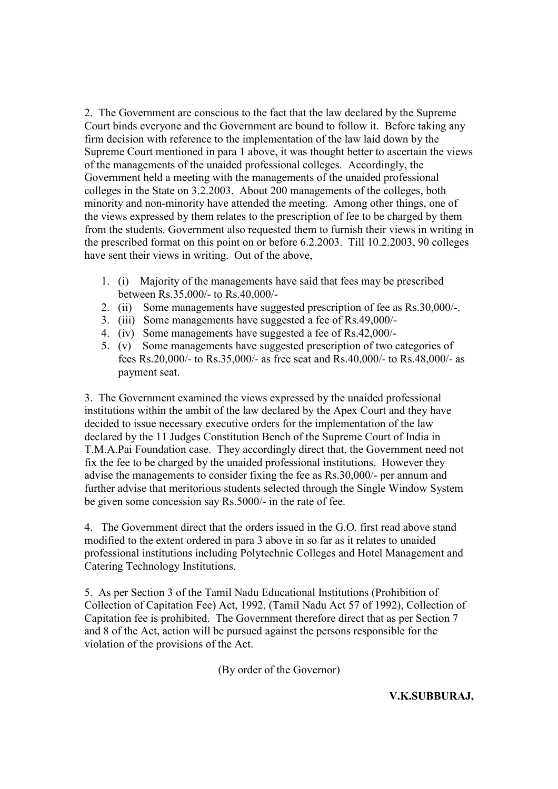2. The Government are conscious to the fact that the law declared by the Supreme Court binds everyone and the Government are bound to follow it. Before taking any firm decision with reference to the implementation of the law laid down by the Supreme Court mentioned in para 1 above, it was thought better to ascertain the views of the managements of the unaided professional colleges. Accordingly, the Government held a meeting with the managements of the unaided professional colleges in the State on 3.2.2003. About 200 managements of the colleges, both minority and non-minority have attended the meeting. Among other things, one of the views expressed by them relates to the prescription of fee to be charged by them from the students. Government also requested them to furnish their views in writing in the prescribed format on this point on or before 6.2.2003. Till 10.2.2003, 90 colleges have sent their views in writing. Out of the above,

- 1. (i) Majority of the managements have said that fees may be prescribed between Rs.35,000/- to Rs.40,000/-
- 2. (ii) Some managements have suggested prescription of fee as Rs.30,000/-.
- 3. (iii) Some managements have suggested a fee of Rs.49,000/-
- 4. (iv) Some managements have suggested a fee of Rs.42,000/-
- 5. (v) Some managements have suggested prescription of two categories of fees Rs.20,000/- to Rs.35,000/- as free seat and Rs.40,000/- to Rs.48,000/- as payment seat.

3. The Government examined the views expressed by the unaided professional institutions within the ambit of the law declared by the Apex Court and they have decided to issue necessary executive orders for the implementation of the law declared by the 11 Judges Constitution Bench of the Supreme Court of India in T.M.A.Pai Foundation case. They accordingly direct that, the Government need not fix the fee to be charged by the unaided professional institutions. However they advise the managements to consider fixing the fee as Rs.30,000/- per annum and further advise that meritorious students selected through the Single Window System be given some concession say Rs.5000/- in the rate of fee.

4. The Government direct that the orders issued in the G.O. first read above stand modified to the extent ordered in para 3 above in so far as it relates to unaided professional institutions including Polytechnic Colleges and Hotel Management and Catering Technology Institutions.

5. As per Section 3 of the Tamil Nadu Educational Institutions (Prohibition of Collection of Capitation Fee) Act, 1992, (Tamil Nadu Act 57 of 1992), Collection of Capitation fee is prohibited. The Government therefore direct that as per Section 7 and 8 of the Act, action will be pursued against the persons responsible for the violation of the provisions of the Act.

(By order of the Governor)

**V.K.SUBBURAJ,**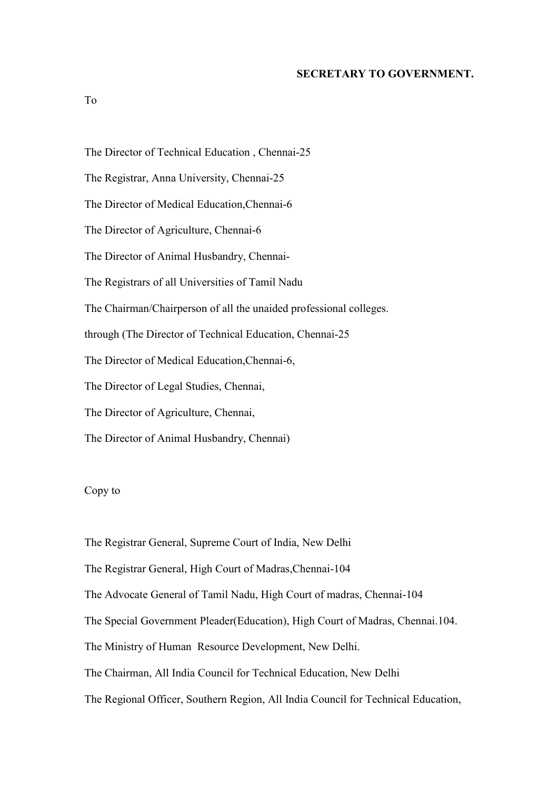#### **SECRETARY TO GOVERNMENT.**

To

The Director of Technical Education , Chennai-25 The Registrar, Anna University, Chennai-25 The Director of Medical Education,Chennai-6 The Director of Agriculture, Chennai-6 The Director of Animal Husbandry, Chennai-The Registrars of all Universities of Tamil Nadu The Chairman/Chairperson of all the unaided professional colleges. through (The Director of Technical Education, Chennai-25 The Director of Medical Education,Chennai-6, The Director of Legal Studies, Chennai, The Director of Agriculture, Chennai, The Director of Animal Husbandry, Chennai)

## Copy to

The Registrar General, Supreme Court of India, New Delhi The Registrar General, High Court of Madras,Chennai-104 The Advocate General of Tamil Nadu, High Court of madras, Chennai-104 The Special Government Pleader(Education), High Court of Madras, Chennai.104. The Ministry of Human Resource Development, New Delhi. The Chairman, All India Council for Technical Education, New Delhi The Regional Officer, Southern Region, All India Council for Technical Education,